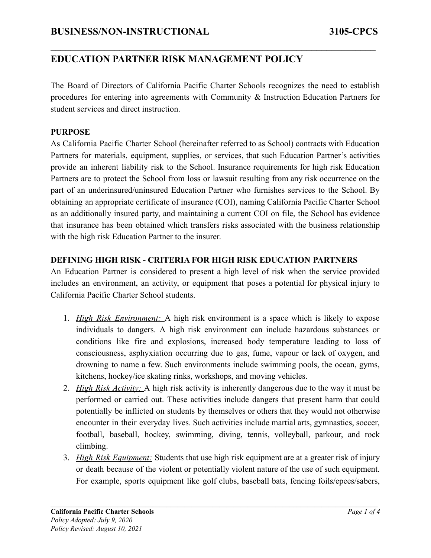The Board of Directors of California Pacific Charter Schools recognizes the need to establish procedures for entering into agreements with Community & Instruction Education Partners for student services and direct instruction.

**\_\_\_\_\_\_\_\_\_\_\_\_\_\_\_\_\_\_\_\_\_\_\_\_\_\_\_\_\_\_\_\_\_\_\_\_\_\_\_\_\_\_\_\_\_\_\_\_\_\_\_\_\_\_\_\_\_\_\_\_\_\_\_\_\_\_**

### **PURPOSE**

As California Pacific Charter School (hereinafter referred to as School) contracts with Education Partners for materials, equipment, supplies, or services, that such Education Partner's activities provide an inherent liability risk to the School. Insurance requirements for high risk Education Partners are to protect the School from loss or lawsuit resulting from any risk occurrence on the part of an underinsured/uninsured Education Partner who furnishes services to the School. By obtaining an appropriate certificate of insurance (COI), naming California Pacific Charter School as an additionally insured party, and maintaining a current COI on file, the School has evidence that insurance has been obtained which transfers risks associated with the business relationship with the high risk Education Partner to the insurer.

## **DEFINING HIGH RISK - CRITERIA FOR HIGH RISK EDUCATION PARTNERS**

An Education Partner is considered to present a high level of risk when the service provided includes an environment, an activity, or equipment that poses a potential for physical injury to California Pacific Charter School students.

- 1. *High Risk Environment:* A high risk environment is a space which is likely to expose individuals to dangers. A high risk environment can include hazardous substances or conditions like fire and explosions, increased body temperature leading to loss of consciousness, asphyxiation occurring due to gas, fume, vapour or lack of oxygen, and drowning to name a few. Such environments include swimming pools, the ocean, gyms, kitchens, hockey/ice skating rinks, workshops, and moving vehicles.
- 2. *High Risk Activity:* A high risk activity is inherently dangerous due to the way it must be performed or carried out. These activities include dangers that present harm that could potentially be inflicted on students by themselves or others that they would not otherwise encounter in their everyday lives. Such activities include martial arts, gymnastics, soccer, football, baseball, hockey, swimming, diving, tennis, volleyball, parkour, and rock climbing.
- 3. *High Risk Equipment:* Students that use high risk equipment are at a greater risk of injury or death because of the violent or potentially violent nature of the use of such equipment. For example, sports equipment like golf clubs, baseball bats, fencing foils/epees/sabers,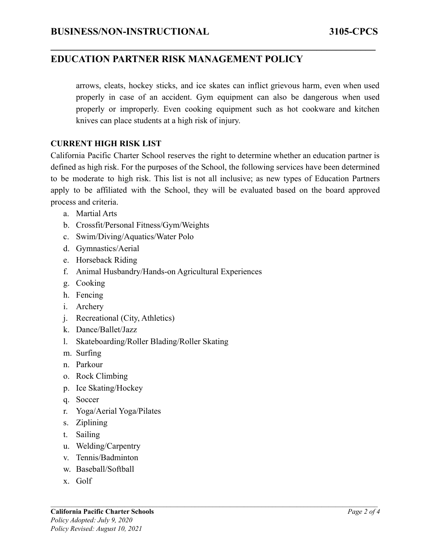arrows, cleats, hockey sticks, and ice skates can inflict grievous harm, even when used properly in case of an accident. Gym equipment can also be dangerous when used properly or improperly. Even cooking equipment such as hot cookware and kitchen knives can place students at a high risk of injury.

**\_\_\_\_\_\_\_\_\_\_\_\_\_\_\_\_\_\_\_\_\_\_\_\_\_\_\_\_\_\_\_\_\_\_\_\_\_\_\_\_\_\_\_\_\_\_\_\_\_\_\_\_\_\_\_\_\_\_\_\_\_\_\_\_\_\_**

#### **CURRENT HIGH RISK LIST**

California Pacific Charter School reserves the right to determine whether an education partner is defined as high risk. For the purposes of the School, the following services have been determined to be moderate to high risk. This list is not all inclusive; as new types of Education Partners apply to be affiliated with the School, they will be evaluated based on the board approved process and criteria.

- a. Martial Arts
- b. Crossfit/Personal Fitness/Gym/Weights
- c. Swim/Diving/Aquatics/Water Polo
- d. Gymnastics/Aerial
- e. Horseback Riding
- f. Animal Husbandry/Hands-on Agricultural Experiences
- g. Cooking
- h. Fencing
- i. Archery
- j. Recreational (City, Athletics)
- k. Dance/Ballet/Jazz
- l. Skateboarding/Roller Blading/Roller Skating
- m. Surfing
- n. Parkour
- o. Rock Climbing
- p. Ice Skating/Hockey
- q. Soccer
- r. Yoga/Aerial Yoga/Pilates
- s. Ziplining
- t. Sailing
- u. Welding/Carpentry
- v. Tennis/Badminton
- w. Baseball/Softball
- x. Golf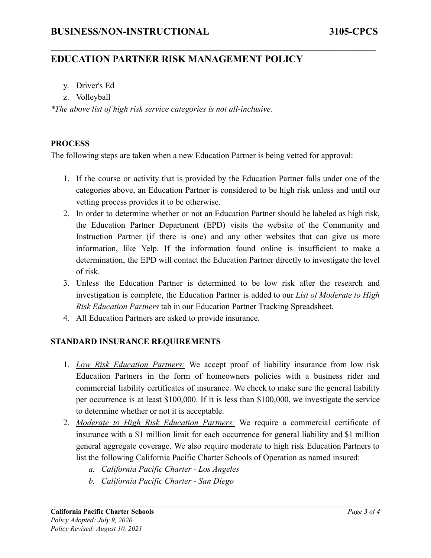- y. Driver's Ed
- z. Volleyball

*\*The above list of high risk service categories is not all-inclusive.*

#### **PROCESS**

The following steps are taken when a new Education Partner is being vetted for approval:

**\_\_\_\_\_\_\_\_\_\_\_\_\_\_\_\_\_\_\_\_\_\_\_\_\_\_\_\_\_\_\_\_\_\_\_\_\_\_\_\_\_\_\_\_\_\_\_\_\_\_\_\_\_\_\_\_\_\_\_\_\_\_\_\_\_\_**

- 1. If the course or activity that is provided by the Education Partner falls under one of the categories above, an Education Partner is considered to be high risk unless and until our vetting process provides it to be otherwise.
- 2. In order to determine whether or not an Education Partner should be labeled as high risk, the Education Partner Department (EPD) visits the website of the Community and Instruction Partner (if there is one) and any other websites that can give us more information, like Yelp. If the information found online is insufficient to make a determination, the EPD will contact the Education Partner directly to investigate the level of risk.
- 3. Unless the Education Partner is determined to be low risk after the research and investigation is complete, the Education Partner is added to our *List of Moderate to High Risk Education Partners* tab in our Education Partner Tracking Spreadsheet.
- 4. All Education Partners are asked to provide insurance.

### **STANDARD INSURANCE REQUIREMENTS**

- 1. *Low Risk Education Partners:* We accept proof of liability insurance from low risk Education Partners in the form of homeowners policies with a business rider and commercial liability certificates of insurance. We check to make sure the general liability per occurrence is at least \$100,000. If it is less than \$100,000, we investigate the service to determine whether or not it is acceptable.
- 2. *Moderate to High Risk Education Partners:* We require a commercial certificate of insurance with a \$1 million limit for each occurrence for general liability and \$1 million general aggregate coverage. We also require moderate to high risk Education Partners to list the following California Pacific Charter Schools of Operation as named insured:
	- *a. California Pacific Charter Los Angeles*
	- *b. California Pacific Charter San Diego*